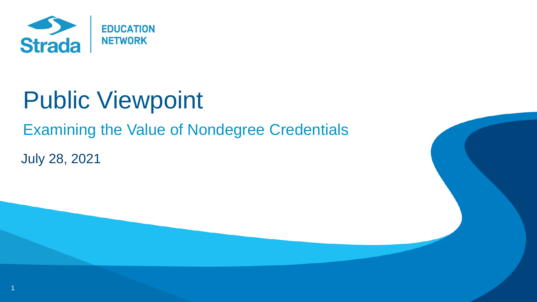

# Public Viewpoint

Examining the Value of Nondegree Credentials

July 28, 2021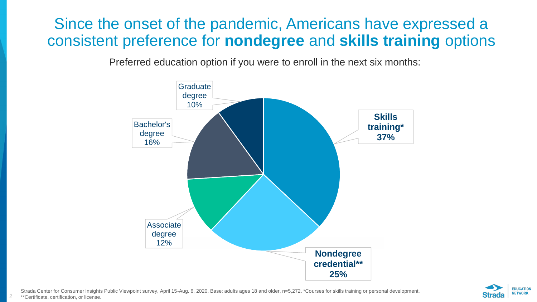### Since the onset of the pandemic, Americans have expressed a consistent preference for **nondegree** and **skills training** options

Preferred education option if you were to enroll in the next six months:



Strada Center for Consumer Insights Public Viewpoint survey, April 15-Aug. 6, 2020. Base: adults ages 18 and older, n=5,272. \*Courses for skills training or personal development. \*\*Certificate, certification, or license.

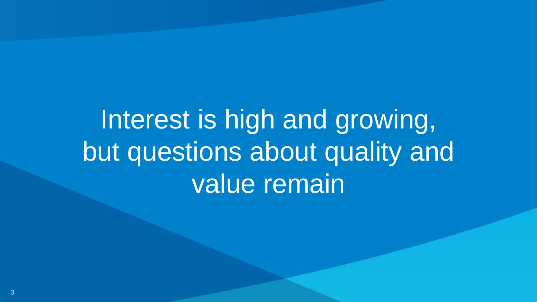Interest is high and growing, but questions about quality and value remain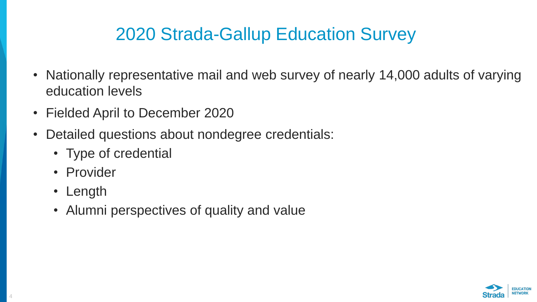# 2020 Strada-Gallup Education Survey

- Nationally representative mail and web survey of nearly 14,000 adults of varying education levels
- Fielded April to December 2020
- Detailed questions about nondegree credentials:
	- Type of credential
	- Provider
	- Length
	- Alumni perspectives of quality and value

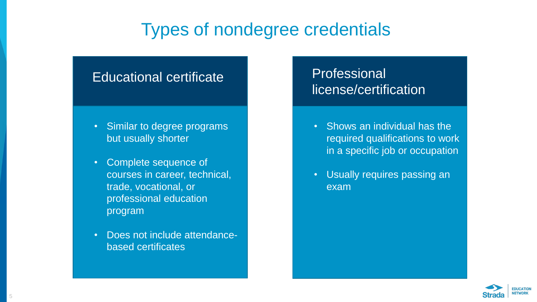# Types of nondegree credentials

#### Educational certificate

- Similar to degree programs but usually shorter
- Complete sequence of courses in career, technical, trade, vocational, or professional education program
- Does not include attendancebased certificates

#### Professional license/certification

- Shows an individual has the required qualifications to work in a specific job or occupation
- Usually requires passing an exam

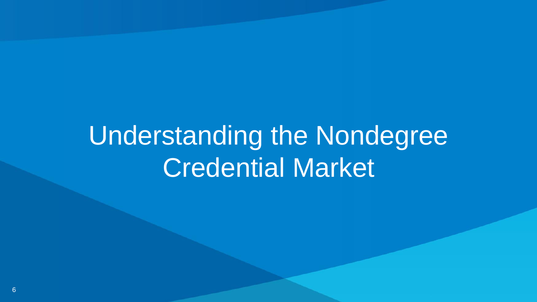# Understanding the Nondegree Credential Market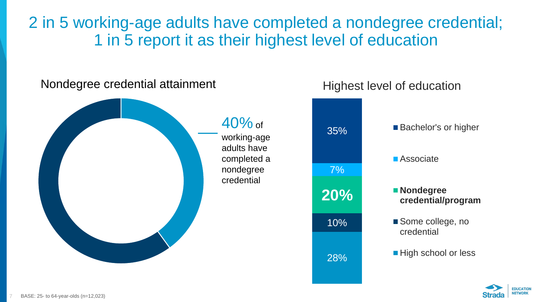2 in 5 working-age adults have completed a nondegree credential; 1 in 5 report it as their highest level of education

#### Nondegree credential attainment





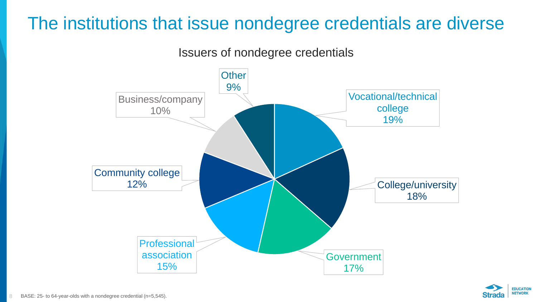# The institutions that issue nondegree credentials are diverse

Issuers of nondegree credentials



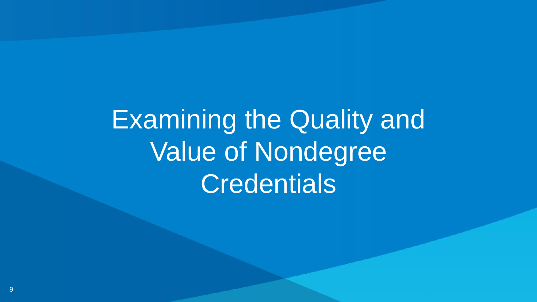Examining the Quality and Value of Nondegree **Credentials**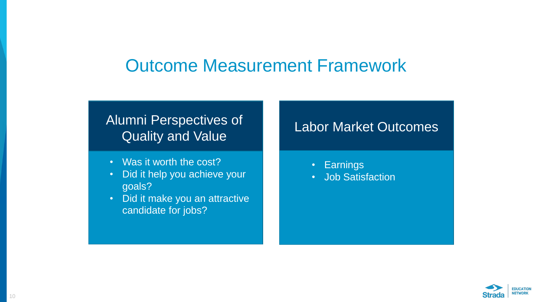## Outcome Measurement Framework

#### Alumni Perspectives of Quality and Value

- Was it worth the cost?
- Did it help you achieve your goals?
- Did it make you an attractive candidate for jobs?

#### Labor Market Outcomes

- Earnings
- Job Satisfaction

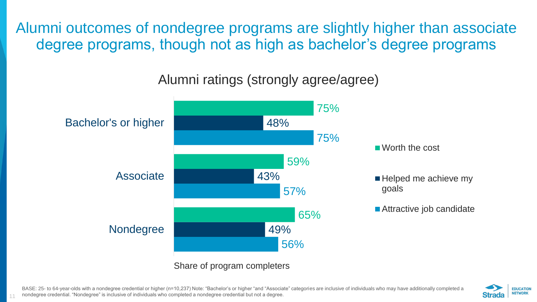Alumni outcomes of nondegree programs are slightly higher than associate degree programs, though not as high as bachelor's degree programs

#### Alumni ratings (strongly agree/agree)



BASE: 25- to 64-year-olds with a nondegree credential or higher (n=10,237) Note: "Bachelor's or higher "and "Associate" categories are inclusive of individuals who may have additionally completed a nondegree credential. "Nondegree" is inclusive of individuals who completed a nondegree credential but not a degree.

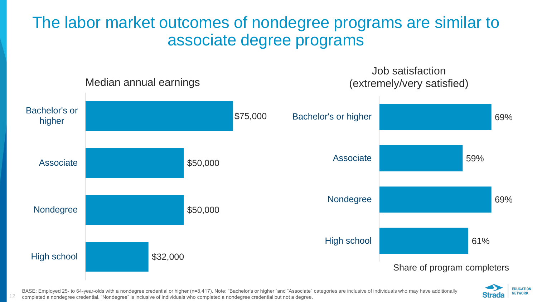## The labor market outcomes of nondegree programs are similar to associate degree programs





BASE: Employed 25- to 64-year-olds with a nondegree credential or higher (n=8,417). Note: "Bachelor's or higher "and "Associate" categories are inclusive of individuals who may have additionally

completed a nondegree credential. "Nondegree" is inclusive of individuals who completed a nondegree credential but not a degree.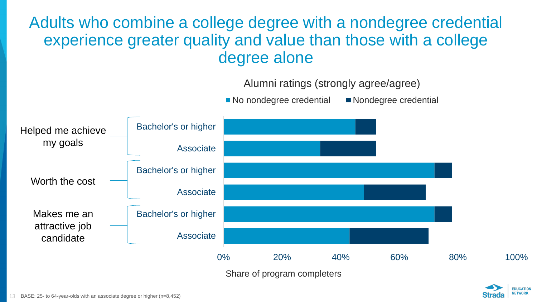### Adults who combine a college degree with a nondegree credential experience greater quality and value than those with a college degree alone



■ No nondegree credential ■ Nondegree credential



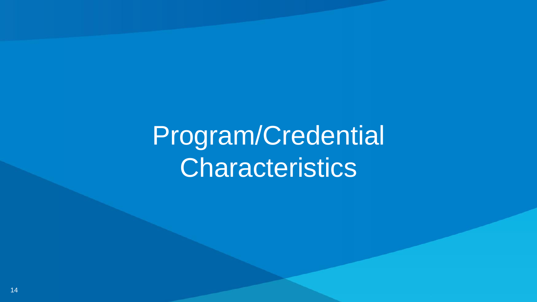Program/Credential **Characteristics**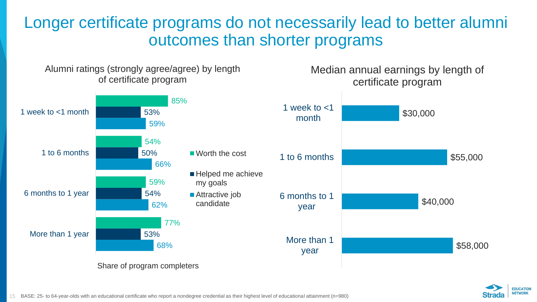Longer certificate programs do not necessarily lead to better alumni outcomes than shorter programs





15 BASE: 25- to 64-year-olds with an educational certificate who report a nondegree credential as their highest level of educational attainment (n=980)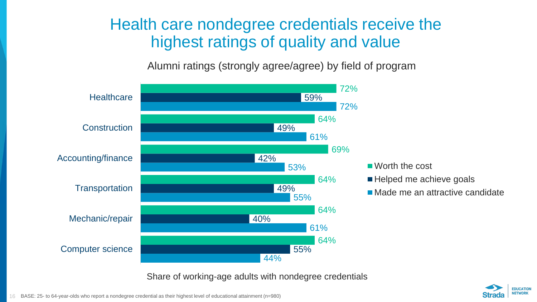### Health care nondegree credentials receive the highest ratings of quality and value

Alumni ratings (strongly agree/agree) by field of program



Share of working-age adults with nondegree credentials

![](_page_15_Picture_4.jpeg)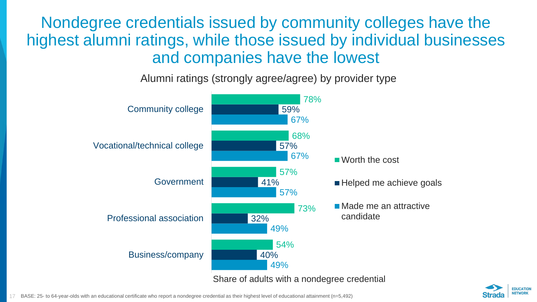Nondegree credentials issued by community colleges have the highest alumni ratings, while those issued by individual businesses and companies have the lowest

Alumni ratings (strongly agree/agree) by provider type

![](_page_16_Figure_2.jpeg)

![](_page_16_Picture_4.jpeg)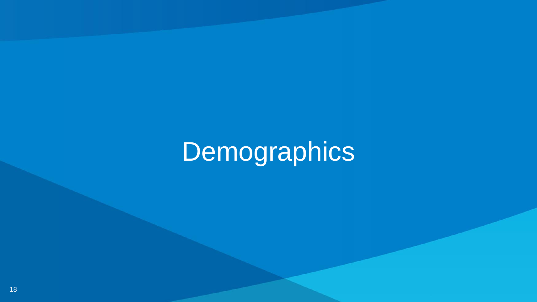# Demographics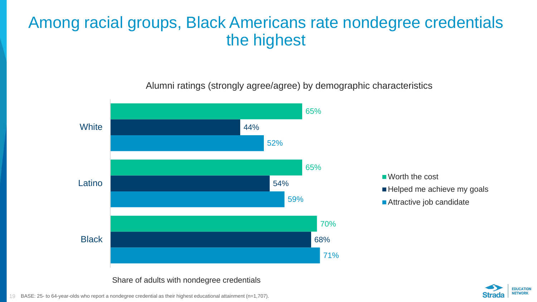## Among racial groups, Black Americans rate nondegree credentials the highest

Alumni ratings (strongly agree/agree) by demographic characteristics

![](_page_18_Figure_2.jpeg)

Share of adults with nondegree credentials

![](_page_18_Picture_4.jpeg)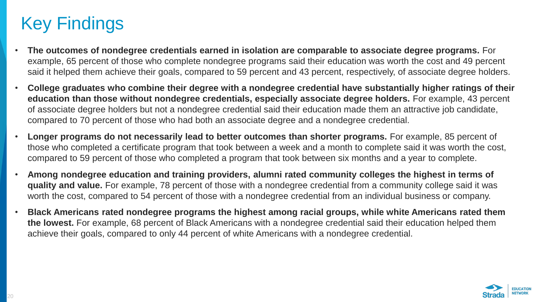# Key Findings

- **The outcomes of nondegree credentials earned in isolation are comparable to associate degree programs.** For example, 65 percent of those who complete nondegree programs said their education was worth the cost and 49 percent said it helped them achieve their goals, compared to 59 percent and 43 percent, respectively, of associate degree holders.
- **College graduates who combine their degree with a nondegree credential have substantially higher ratings of their education than those without nondegree credentials, especially associate degree holders.** For example, 43 percent of associate degree holders but not a nondegree credential said their education made them an attractive job candidate, compared to 70 percent of those who had both an associate degree and a nondegree credential.
- **Longer programs do not necessarily lead to better outcomes than shorter programs.** For example, 85 percent of those who completed a certificate program that took between a week and a month to complete said it was worth the cost, compared to 59 percent of those who completed a program that took between six months and a year to complete.
- **Among nondegree education and training providers, alumni rated community colleges the highest in terms of quality and value.** For example, 78 percent of those with a nondegree credential from a community college said it was worth the cost, compared to 54 percent of those with a nondegree credential from an individual business or company.
- **Black Americans rated nondegree programs the highest among racial groups, while white Americans rated them the lowest.** For example, 68 percent of Black Americans with a nondegree credential said their education helped them achieve their goals, compared to only 44 percent of white Americans with a nondegree credential.

![](_page_19_Picture_6.jpeg)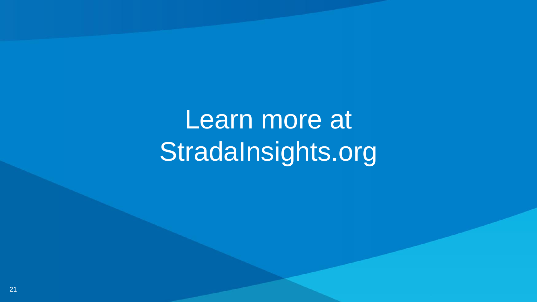Learn more at StradaInsights.org